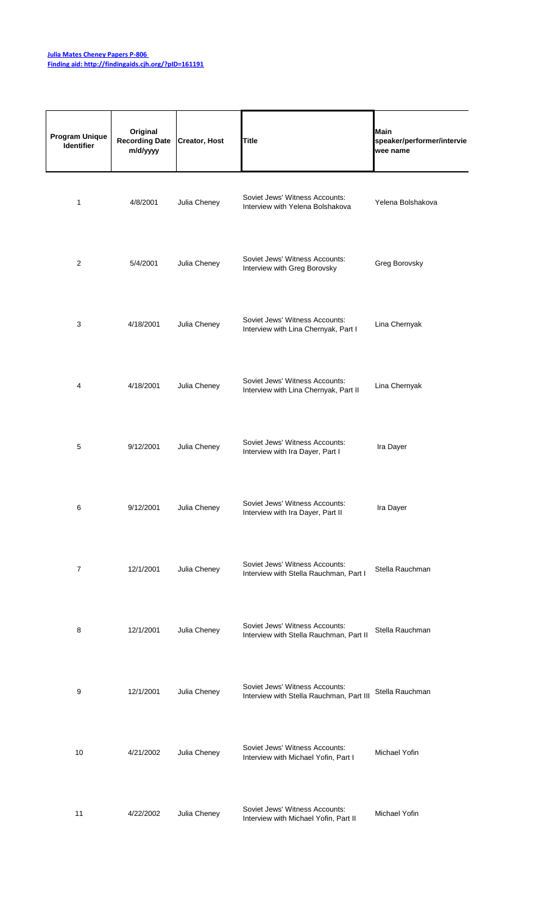## **[Julia Mates Cheney P](http://findingaids.cjh.org/?pID=161191)apers P-806 [Finding aid: http://fin](http://findingaids.cjh.org/?pID=161191)dingaids.cjh.org/?pID=161191**

| <b>Program Unique</b><br>Identifier | Original<br><b>Recording Date</b><br>m/d/yyyy | <b>Creator, Host</b> | <b>Title</b>                                                               | Main<br>speaker/performer/intervie<br>wee name |
|-------------------------------------|-----------------------------------------------|----------------------|----------------------------------------------------------------------------|------------------------------------------------|
| 1                                   | 4/8/2001                                      | Julia Cheney         | Soviet Jews' Witness Accounts:<br>Interview with Yelena Bolshakova         | Yelena Bolshakova                              |
| $\overline{c}$                      | 5/4/2001                                      | Julia Cheney         | Soviet Jews' Witness Accounts:<br>Interview with Greg Borovsky             | Greg Borovsky                                  |
| 3                                   | 4/18/2001                                     | Julia Cheney         | Soviet Jews' Witness Accounts:<br>Interview with Lina Chernyak, Part I     | Lina Chernyak                                  |
| 4                                   | 4/18/2001                                     | Julia Cheney         | Soviet Jews' Witness Accounts:<br>Interview with Lina Chernyak, Part II    | Lina Chernyak                                  |
| 5                                   | 9/12/2001                                     | Julia Cheney         | Soviet Jews' Witness Accounts:<br>Interview with Ira Dayer, Part I         | Ira Dayer                                      |
| 6                                   | 9/12/2001                                     | Julia Cheney         | Soviet Jews' Witness Accounts:<br>Interview with Ira Dayer, Part II        | Ira Dayer                                      |
| 7                                   | 12/1/2001                                     | Julia Cheney         | Soviet Jews' Witness Accounts:<br>Interview with Stella Rauchman, Part I   | Stella Rauchman                                |
| 8                                   | 12/1/2001                                     | Julia Cheney         | Soviet Jews' Witness Accounts:<br>Interview with Stella Rauchman, Part II  | Stella Rauchman                                |
| 9                                   | 12/1/2001                                     | Julia Cheney         | Soviet Jews' Witness Accounts:<br>Interview with Stella Rauchman, Part III | Stella Rauchman                                |
| 10                                  | 4/21/2002                                     | Julia Cheney         | Soviet Jews' Witness Accounts:<br>Interview with Michael Yofin, Part I     | Michael Yofin                                  |
| 11                                  | 4/22/2002                                     | Julia Cheney         | Soviet Jews' Witness Accounts:<br>Interview with Michael Yofin, Part II    | Michael Yofin                                  |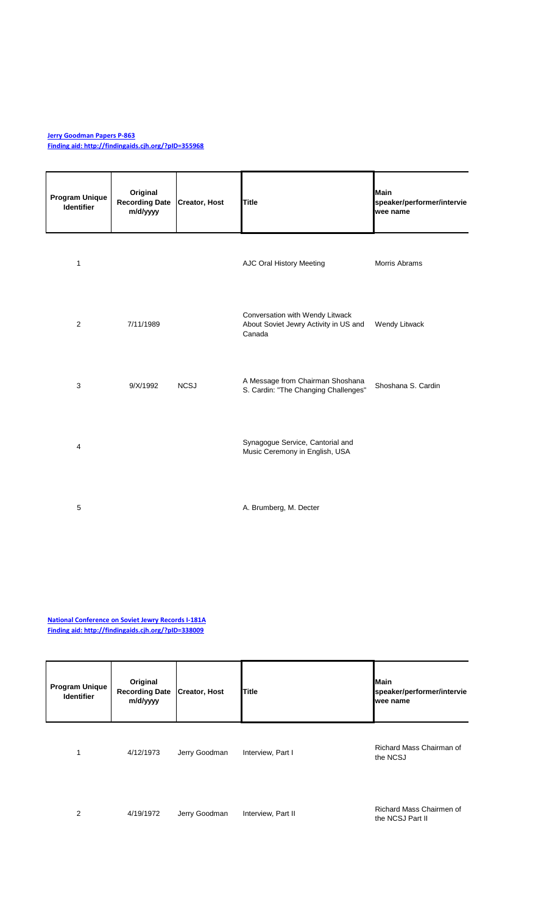## **[Jerry Goodman Pape](http://findingaids.cjh.org/?pID=355968)rs P-863**

**[Finding aid: http://fin](http://findingaids.cjh.org/?pID=355968)dingaids.cjh.org/?pID=355968**

| Program Unique<br><b>Identifier</b> | Original<br><b>Recording Date</b><br>m/d/yyyy | <b>Creator, Host</b> | <b>Title</b>                                                                       | Main<br>speaker/performer/intervie<br>wee name |
|-------------------------------------|-----------------------------------------------|----------------------|------------------------------------------------------------------------------------|------------------------------------------------|
| $\mathbf{1}$                        |                                               |                      | AJC Oral History Meeting                                                           | <b>Morris Abrams</b>                           |
| 2                                   | 7/11/1989                                     |                      | Conversation with Wendy Litwack<br>About Soviet Jewry Activity in US and<br>Canada | Wendy Litwack                                  |
| $\mathbf{3}$                        | 9/X/1992                                      | <b>NCSJ</b>          | A Message from Chairman Shoshana<br>S. Cardin: "The Changing Challenges"           | Shoshana S. Cardin                             |
| $\overline{4}$                      |                                               |                      | Synagogue Service, Cantorial and<br>Music Ceremony in English, USA                 |                                                |
| 5                                   |                                               |                      | A. Brumberg, M. Decter                                                             |                                                |

**[National Conference](http://findingaids.cjh.org/?pID=338009) on Soviet Jewry Records I-181A [Finding aid: http://fin](http://findingaids.cjh.org/?pID=338009)dingaids.cjh.org/?pID=338009**

| <b>Program Unique</b><br><b>Identifier</b> | Original<br><b>Recording Date</b><br>m/d/yyyy | <b>Creator, Host</b> | <b>Title</b>       | <b>Main</b><br>speaker/performer/intervie<br>wee name |
|--------------------------------------------|-----------------------------------------------|----------------------|--------------------|-------------------------------------------------------|
| 1                                          | 4/12/1973                                     | Jerry Goodman        | Interview, Part I  | Richard Mass Chairman of<br>the NCSJ                  |
| 2                                          | 4/19/1972                                     | Jerry Goodman        | Interview, Part II | Richard Mass Chairmen of<br>the NCSJ Part II          |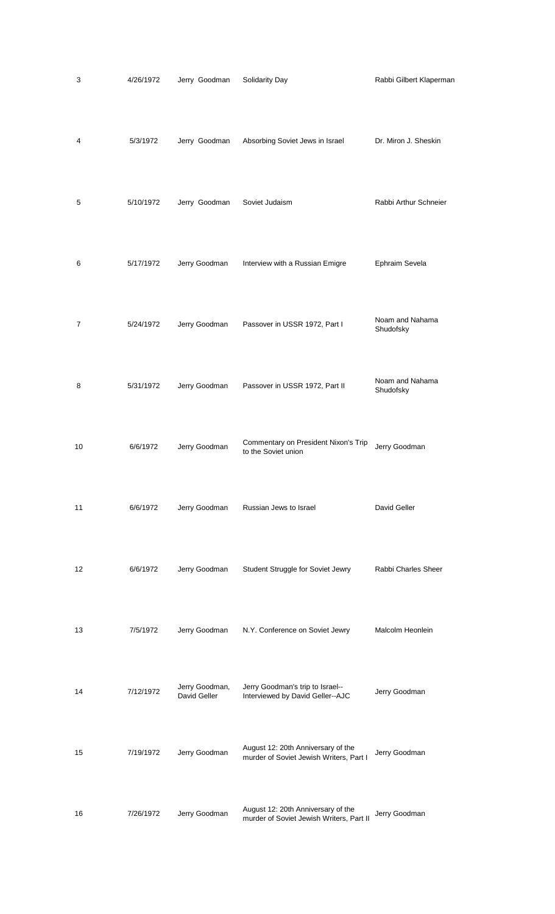| 3  | 4/26/1972 | Jerry Goodman                  | Solidarity Day                                                                 | Rabbi Gilbert Klaperman      |
|----|-----------|--------------------------------|--------------------------------------------------------------------------------|------------------------------|
| 4  | 5/3/1972  | Jerry Goodman                  | Absorbing Soviet Jews in Israel                                                | Dr. Miron J. Sheskin         |
| 5  | 5/10/1972 | Jerry Goodman                  | Soviet Judaism                                                                 | Rabbi Arthur Schneier        |
| 6  | 5/17/1972 | Jerry Goodman                  | Interview with a Russian Emigre                                                | Ephraim Sevela               |
| 7  | 5/24/1972 | Jerry Goodman                  | Passover in USSR 1972, Part I                                                  | Noam and Nahama<br>Shudofsky |
| 8  | 5/31/1972 | Jerry Goodman                  | Passover in USSR 1972, Part II                                                 | Noam and Nahama<br>Shudofsky |
| 10 | 6/6/1972  | Jerry Goodman                  | Commentary on President Nixon's Trip<br>to the Soviet union                    | Jerry Goodman                |
| 11 | 6/6/1972  | Jerry Goodman                  | Russian Jews to Israel                                                         | David Geller                 |
| 12 | 6/6/1972  | Jerry Goodman                  | Student Struggle for Soviet Jewry                                              | Rabbi Charles Sheer          |
| 13 | 7/5/1972  | Jerry Goodman                  | N.Y. Conference on Soviet Jewry                                                | Malcolm Heonlein             |
| 14 | 7/12/1972 | Jerry Goodman,<br>David Geller | Jerry Goodman's trip to Israel--<br>Interviewed by David Geller--AJC           | Jerry Goodman                |
| 15 | 7/19/1972 | Jerry Goodman                  | August 12: 20th Anniversary of the<br>murder of Soviet Jewish Writers, Part I  | Jerry Goodman                |
| 16 | 7/26/1972 | Jerry Goodman                  | August 12: 20th Anniversary of the<br>murder of Soviet Jewish Writers, Part II | Jerry Goodman                |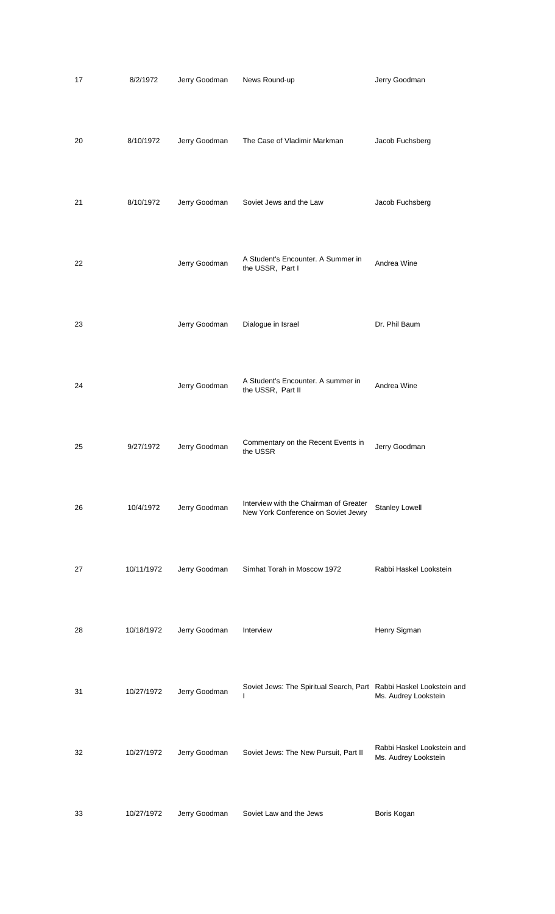| 17 | 8/2/1972   | Jerry Goodman | News Round-up                                                                 | Jerry Goodman                                      |
|----|------------|---------------|-------------------------------------------------------------------------------|----------------------------------------------------|
| 20 | 8/10/1972  | Jerry Goodman | The Case of Vladimir Markman                                                  | Jacob Fuchsberg                                    |
| 21 | 8/10/1972  | Jerry Goodman | Soviet Jews and the Law                                                       | Jacob Fuchsberg                                    |
| 22 |            | Jerry Goodman | A Student's Encounter. A Summer in<br>the USSR, Part I                        | Andrea Wine                                        |
| 23 |            | Jerry Goodman | Dialogue in Israel                                                            | Dr. Phil Baum                                      |
| 24 |            | Jerry Goodman | A Student's Encounter. A summer in<br>the USSR, Part II                       | Andrea Wine                                        |
| 25 | 9/27/1972  | Jerry Goodman | Commentary on the Recent Events in<br>the USSR                                | Jerry Goodman                                      |
| 26 | 10/4/1972  | Jerry Goodman | Interview with the Chairman of Greater<br>New York Conference on Soviet Jewry | <b>Stanley Lowell</b>                              |
| 27 | 10/11/1972 | Jerry Goodman | Simhat Torah in Moscow 1972                                                   | Rabbi Haskel Lookstein                             |
| 28 | 10/18/1972 | Jerry Goodman | Interview                                                                     | Henry Sigman                                       |
| 31 | 10/27/1972 | Jerry Goodman | Soviet Jews: The Spiritual Search, Part Rabbi Haskel Lookstein and<br>L       | Ms. Audrey Lookstein                               |
| 32 | 10/27/1972 | Jerry Goodman | Soviet Jews: The New Pursuit, Part II                                         | Rabbi Haskel Lookstein and<br>Ms. Audrey Lookstein |
| 33 | 10/27/1972 | Jerry Goodman | Soviet Law and the Jews                                                       | Boris Kogan                                        |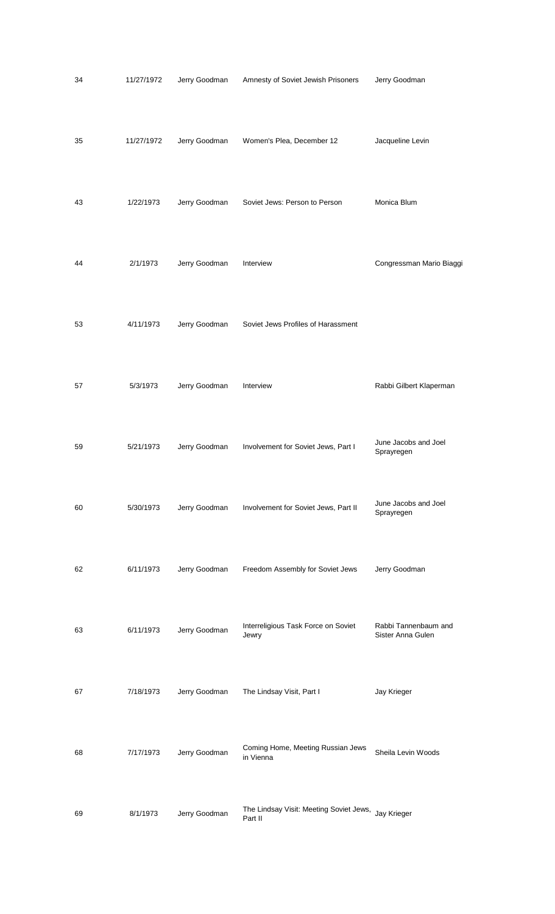| 34 | 11/27/1972 | Jerry Goodman | Amnesty of Soviet Jewish Prisoners                 | Jerry Goodman                             |
|----|------------|---------------|----------------------------------------------------|-------------------------------------------|
| 35 | 11/27/1972 | Jerry Goodman | Women's Plea, December 12                          | Jacqueline Levin                          |
| 43 | 1/22/1973  | Jerry Goodman | Soviet Jews: Person to Person                      | Monica Blum                               |
| 44 | 2/1/1973   | Jerry Goodman | Interview                                          | Congressman Mario Biaggi                  |
| 53 | 4/11/1973  | Jerry Goodman | Soviet Jews Profiles of Harassment                 |                                           |
| 57 | 5/3/1973   | Jerry Goodman | Interview                                          | Rabbi Gilbert Klaperman                   |
| 59 | 5/21/1973  | Jerry Goodman | Involvement for Soviet Jews, Part I                | June Jacobs and Joel<br>Sprayregen        |
| 60 | 5/30/1973  | Jerry Goodman | Involvement for Soviet Jews, Part II               | June Jacobs and Joel<br>Sprayregen        |
| 62 | 6/11/1973  | Jerry Goodman | Freedom Assembly for Soviet Jews                   | Jerry Goodman                             |
| 63 | 6/11/1973  | Jerry Goodman | Interreligious Task Force on Soviet<br>Jewry       | Rabbi Tannenbaum and<br>Sister Anna Gulen |
| 67 | 7/18/1973  | Jerry Goodman | The Lindsay Visit, Part I                          | Jay Krieger                               |
| 68 | 7/17/1973  | Jerry Goodman | Coming Home, Meeting Russian Jews<br>in Vienna     | Sheila Levin Woods                        |
| 69 | 8/1/1973   | Jerry Goodman | The Lindsay Visit: Meeting Soviet Jews,<br>Part II | Jay Krieger                               |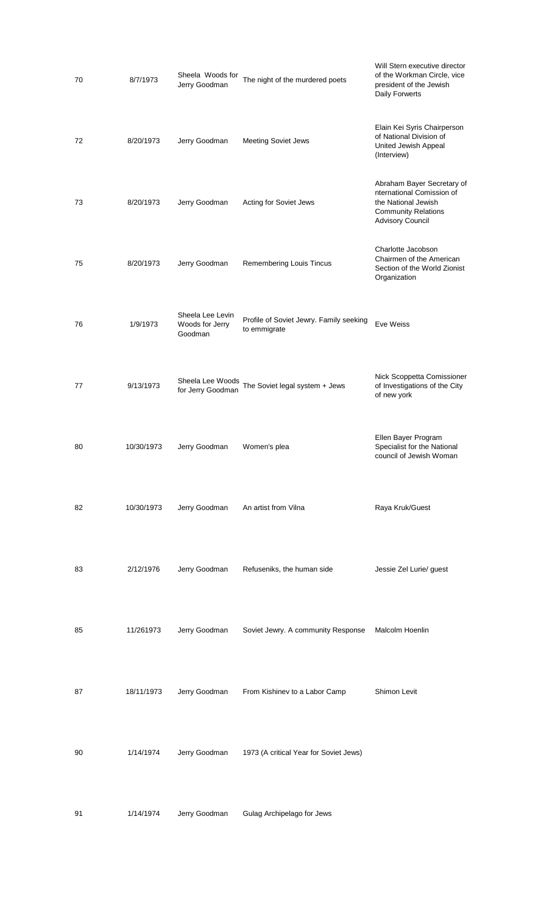| 70 | 8/7/1973   | Sheela Woods for<br>Jerry Goodman              | The night of the murdered poets                         | Will Stern executive director<br>of the Workman Circle, vice<br>president of the Jewish<br>Daily Forwerts                               |
|----|------------|------------------------------------------------|---------------------------------------------------------|-----------------------------------------------------------------------------------------------------------------------------------------|
| 72 | 8/20/1973  | Jerry Goodman                                  | <b>Meeting Soviet Jews</b>                              | Elain Kei Syris Chairperson<br>of National Division of<br>United Jewish Appeal<br>(Interview)                                           |
| 73 | 8/20/1973  | Jerry Goodman                                  | Acting for Soviet Jews                                  | Abraham Bayer Secretary of<br>nternational Comission of<br>the National Jewish<br><b>Community Relations</b><br><b>Advisory Council</b> |
| 75 | 8/20/1973  | Jerry Goodman                                  | Remembering Louis Tincus                                | Charlotte Jacobson<br>Chairmen of the American<br>Section of the World Zionist<br>Organization                                          |
| 76 | 1/9/1973   | Sheela Lee Levin<br>Woods for Jerry<br>Goodman | Profile of Soviet Jewry. Family seeking<br>to emmigrate | Eve Weiss                                                                                                                               |
| 77 | 9/13/1973  | for Jerry Goodman                              | Sheela Lee Woods The Soviet legal system + Jews         | Nick Scoppetta Comissioner<br>of Investigations of the City<br>of new york                                                              |
| 80 | 10/30/1973 | Jerry Goodman                                  | Women's plea                                            | Ellen Bayer Program<br>Specialist for the National<br>council of Jewish Woman                                                           |
| 82 | 10/30/1973 | Jerry Goodman                                  | An artist from Vilna                                    | Raya Kruk/Guest                                                                                                                         |
| 83 | 2/12/1976  | Jerry Goodman                                  | Refuseniks, the human side                              | Jessie Zel Lurie/ guest                                                                                                                 |
| 85 | 11/261973  | Jerry Goodman                                  | Soviet Jewry. A community Response                      | Malcolm Hoenlin                                                                                                                         |
| 87 | 18/11/1973 | Jerry Goodman                                  | From Kishinev to a Labor Camp                           | Shimon Levit                                                                                                                            |
| 90 | 1/14/1974  | Jerry Goodman                                  | 1973 (A critical Year for Soviet Jews)                  |                                                                                                                                         |
| 91 | 1/14/1974  | Jerry Goodman                                  | Gulag Archipelago for Jews                              |                                                                                                                                         |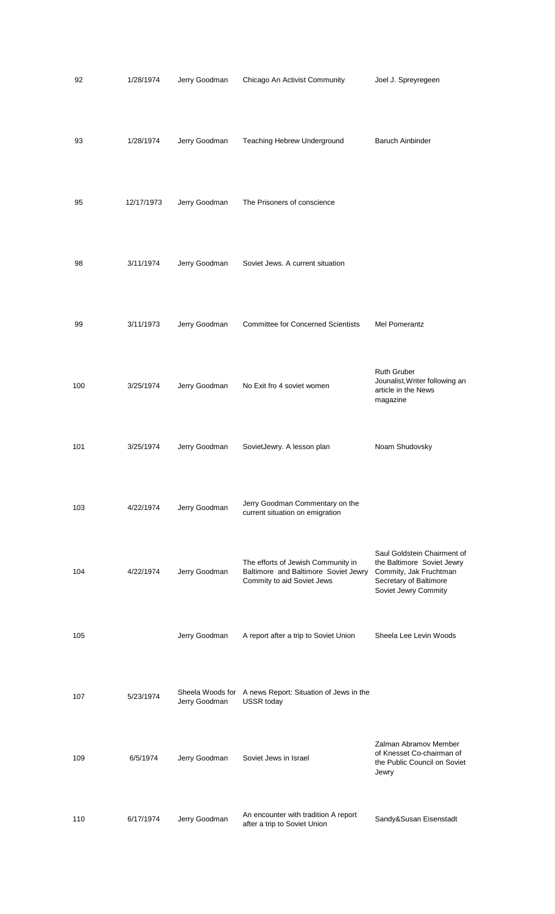| 92  | 1/28/1974  | Jerry Goodman | Chicago An Activist Community                                                                            | Joel J. Spreyregeen                                                                                                                   |
|-----|------------|---------------|----------------------------------------------------------------------------------------------------------|---------------------------------------------------------------------------------------------------------------------------------------|
| 93  | 1/28/1974  | Jerry Goodman | Teaching Hebrew Underground                                                                              | <b>Baruch Ainbinder</b>                                                                                                               |
| 95  | 12/17/1973 | Jerry Goodman | The Prisoners of conscience                                                                              |                                                                                                                                       |
| 98  | 3/11/1974  | Jerry Goodman | Soviet Jews. A current situation                                                                         |                                                                                                                                       |
| 99  | 3/11/1973  | Jerry Goodman | <b>Committee for Concerned Scientists</b>                                                                | Mel Pomerantz                                                                                                                         |
| 100 | 3/25/1974  | Jerry Goodman | No Exit fro 4 soviet women                                                                               | <b>Ruth Gruber</b><br>Jounalist, Writer following an<br>article in the News<br>magazine                                               |
| 101 | 3/25/1974  | Jerry Goodman | SovietJewry. A lesson plan                                                                               | Noam Shudovsky                                                                                                                        |
| 103 | 4/22/1974  | Jerry Goodman | Jerry Goodman Commentary on the<br>current situation on emigration                                       |                                                                                                                                       |
| 104 | 4/22/1974  | Jerry Goodman | The efforts of Jewish Community in<br>Baltimore and Baltimore Soviet Jewry<br>Commity to aid Soviet Jews | Saul Goldstein Chairment of<br>the Baltimore Soviet Jewry<br>Commity, Jak Fruchtman<br>Secretary of Baltimore<br>Soviet Jewry Commity |
| 105 |            | Jerry Goodman | A report after a trip to Soviet Union                                                                    | Sheela Lee Levin Woods                                                                                                                |
| 107 | 5/23/1974  | Jerry Goodman | Sheela Woods for A news Report: Situation of Jews in the<br><b>USSR</b> today                            |                                                                                                                                       |
| 109 | 6/5/1974   | Jerry Goodman | Soviet Jews in Israel                                                                                    | Zalman Abramov Member<br>of Knesset Co-chairman of<br>the Public Council on Soviet<br>Jewry                                           |
| 110 | 6/17/1974  | Jerry Goodman | An encounter with tradition A report<br>after a trip to Soviet Union                                     | Sandy&Susan Eisenstadt                                                                                                                |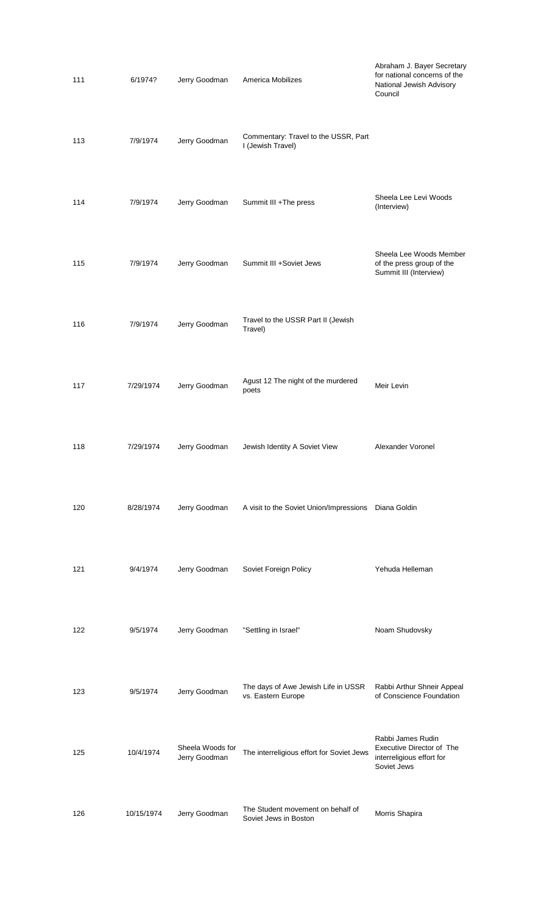| 111 | 6/1974?    | Jerry Goodman                     | America Mobilizes                                          | Abraham J. Bayer Secretary<br>for national concerns of the<br>National Jewish Advisory<br>Council |
|-----|------------|-----------------------------------|------------------------------------------------------------|---------------------------------------------------------------------------------------------------|
| 113 | 7/9/1974   | Jerry Goodman                     | Commentary: Travel to the USSR, Part<br>I (Jewish Travel)  |                                                                                                   |
| 114 | 7/9/1974   | Jerry Goodman                     | Summit III +The press                                      | Sheela Lee Levi Woods<br>(Interview)                                                              |
| 115 | 7/9/1974   | Jerry Goodman                     | Summit III +Soviet Jews                                    | Sheela Lee Woods Member<br>of the press group of the<br>Summit III (Interview)                    |
| 116 | 7/9/1974   | Jerry Goodman                     | Travel to the USSR Part II (Jewish<br>Travel)              |                                                                                                   |
| 117 | 7/29/1974  | Jerry Goodman                     | Agust 12 The night of the murdered<br>poets                | Meir Levin                                                                                        |
| 118 | 7/29/1974  | Jerry Goodman                     | Jewish Identity A Soviet View                              | Alexander Voronel                                                                                 |
| 120 | 8/28/1974  | Jerry Goodman                     | A visit to the Soviet Union/Impressions  Diana Goldin      |                                                                                                   |
| 121 | 9/4/1974   | Jerry Goodman                     | Soviet Foreign Policy                                      | Yehuda Helleman                                                                                   |
| 122 | 9/5/1974   | Jerry Goodman                     | "Settling in Israel"                                       | Noam Shudovsky                                                                                    |
| 123 | 9/5/1974   | Jerry Goodman                     | The days of Awe Jewish Life in USSR<br>vs. Eastern Europe  | Rabbi Arthur Shneir Appeal<br>of Conscience Foundation                                            |
| 125 | 10/4/1974  | Sheela Woods for<br>Jerry Goodman | The interreligious effort for Soviet Jews                  | Rabbi James Rudin<br>Executive Director of The<br>interreligious effort for<br>Soviet Jews        |
| 126 | 10/15/1974 | Jerry Goodman                     | The Student movement on behalf of<br>Soviet Jews in Boston | Morris Shapira                                                                                    |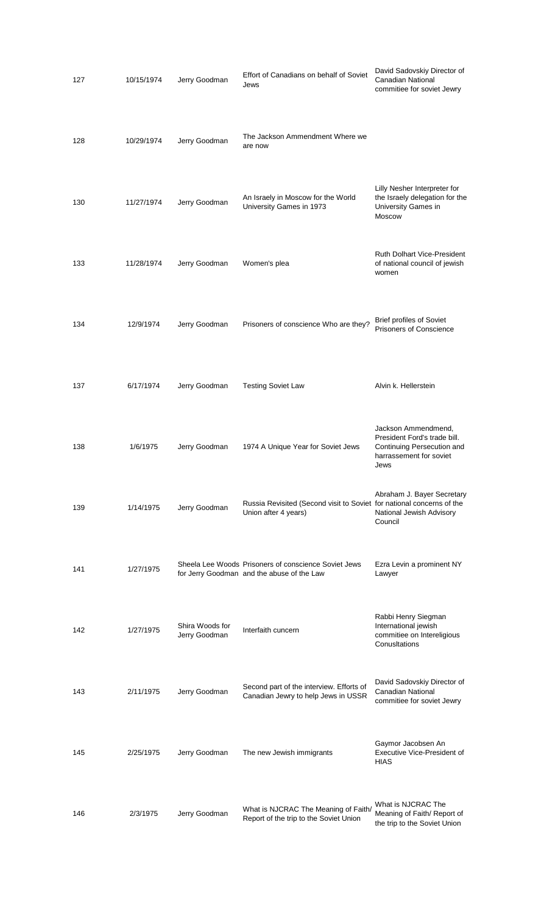| 127 | 10/15/1974 | Jerry Goodman                    | Effort of Canadians on behalf of Soviet<br>Jews                                                    | David Sadovskiy Director of<br>Canadian National<br>commitiee for soviet Jewry                                       |
|-----|------------|----------------------------------|----------------------------------------------------------------------------------------------------|----------------------------------------------------------------------------------------------------------------------|
| 128 | 10/29/1974 | Jerry Goodman                    | The Jackson Ammendment Where we<br>are now                                                         |                                                                                                                      |
| 130 | 11/27/1974 | Jerry Goodman                    | An Israely in Moscow for the World<br>University Games in 1973                                     | Lilly Nesher Interpreter for<br>the Israely delegation for the<br>University Games in<br><b>Moscow</b>               |
| 133 | 11/28/1974 | Jerry Goodman                    | Women's plea                                                                                       | <b>Ruth Dolhart Vice-President</b><br>of national council of jewish<br>women                                         |
| 134 | 12/9/1974  | Jerry Goodman                    | Prisoners of conscience Who are they?                                                              | <b>Brief profiles of Soviet</b><br><b>Prisoners of Conscience</b>                                                    |
| 137 | 6/17/1974  | Jerry Goodman                    | <b>Testing Soviet Law</b>                                                                          | Alvin k. Hellerstein                                                                                                 |
| 138 | 1/6/1975   | Jerry Goodman                    | 1974 A Unique Year for Soviet Jews                                                                 | Jackson Ammendmend,<br>President Ford's trade bill.<br>Continuing Persecution and<br>harrassement for soviet<br>Jews |
| 139 | 1/14/1975  | Jerry Goodman                    | Russia Revisited (Second visit to Soviet for national concerns of the<br>Union after 4 years)      | Abraham J. Bayer Secretary<br>National Jewish Advisory<br>Council                                                    |
| 141 | 1/27/1975  |                                  | Sheela Lee Woods Prisoners of conscience Soviet Jews<br>for Jerry Goodman and the abuse of the Law | Ezra Levin a prominent NY<br>Lawyer                                                                                  |
| 142 | 1/27/1975  | Shira Woods for<br>Jerry Goodman | Interfaith cuncern                                                                                 | Rabbi Henry Siegman<br>International jewish<br>commitiee on Intereligious<br>ConusItations                           |
| 143 | 2/11/1975  | Jerry Goodman                    | Second part of the interview. Efforts of<br>Canadian Jewry to help Jews in USSR                    | David Sadovskiy Director of<br>Canadian National<br>commitiee for soviet Jewry                                       |
| 145 | 2/25/1975  | Jerry Goodman                    | The new Jewish immigrants                                                                          | Gaymor Jacobsen An<br>Executive Vice-President of<br><b>HIAS</b>                                                     |
| 146 | 2/3/1975   | Jerry Goodman                    | What is NJCRAC The Meaning of Faith/<br>Report of the trip to the Soviet Union                     | What is NJCRAC The<br>Meaning of Faith/ Report of<br>the trip to the Soviet Union                                    |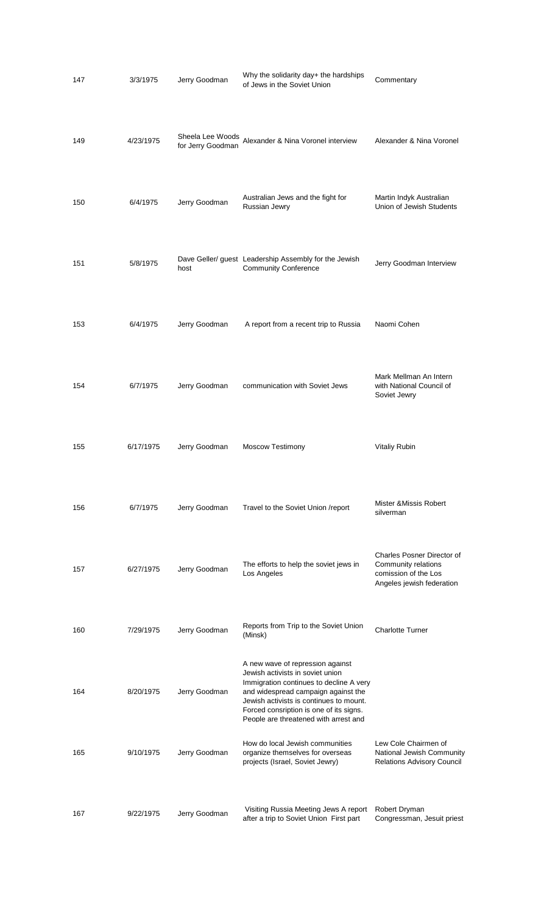| 147 | 3/3/1975  | Jerry Goodman     | Why the solidarity day+ the hardships<br>of Jews in the Soviet Union                                                                                                                                                                                                                  | Commentary                                                                                                    |
|-----|-----------|-------------------|---------------------------------------------------------------------------------------------------------------------------------------------------------------------------------------------------------------------------------------------------------------------------------------|---------------------------------------------------------------------------------------------------------------|
| 149 | 4/23/1975 | for Jerry Goodman | Sheela Lee Woods<br>Alexander & Nina Voronel interview                                                                                                                                                                                                                                | Alexander & Nina Voronel                                                                                      |
| 150 | 6/4/1975  | Jerry Goodman     | Australian Jews and the fight for<br>Russian Jewry                                                                                                                                                                                                                                    | Martin Indyk Australian<br>Union of Jewish Students                                                           |
| 151 | 5/8/1975  | host              | Dave Geller/ guest Leadership Assembly for the Jewish<br><b>Community Conference</b>                                                                                                                                                                                                  | Jerry Goodman Interview                                                                                       |
| 153 | 6/4/1975  | Jerry Goodman     | A report from a recent trip to Russia                                                                                                                                                                                                                                                 | Naomi Cohen                                                                                                   |
| 154 | 6/7/1975  | Jerry Goodman     | communication with Soviet Jews                                                                                                                                                                                                                                                        | Mark Mellman An Intern<br>with National Council of<br>Soviet Jewry                                            |
| 155 | 6/17/1975 | Jerry Goodman     | Moscow Testimony                                                                                                                                                                                                                                                                      | Vitaliy Rubin                                                                                                 |
| 156 | 6/7/1975  | Jerry Goodman     | Travel to the Soviet Union /report                                                                                                                                                                                                                                                    | Mister & Missis Robert<br>silverman                                                                           |
| 157 | 6/27/1975 | Jerry Goodman     | The efforts to help the soviet jews in<br>Los Angeles                                                                                                                                                                                                                                 | <b>Charles Posner Director of</b><br>Community relations<br>comission of the Los<br>Angeles jewish federation |
| 160 | 7/29/1975 | Jerry Goodman     | Reports from Trip to the Soviet Union<br>(Minsk)                                                                                                                                                                                                                                      | <b>Charlotte Turner</b>                                                                                       |
| 164 | 8/20/1975 | Jerry Goodman     | A new wave of repression against<br>Jewish activists in soviet union<br>Immigration continues to decline A very<br>and widespread campaign against the<br>Jewish activists is continues to mount.<br>Forced consription is one of its signs.<br>People are threatened with arrest and |                                                                                                               |
| 165 | 9/10/1975 | Jerry Goodman     | How do local Jewish communities<br>organize themselves for overseas<br>projects (Israel, Soviet Jewry)                                                                                                                                                                                | Lew Cole Chairmen of<br>National Jewish Community<br><b>Relations Advisory Council</b>                        |
| 167 | 9/22/1975 | Jerry Goodman     | Visiting Russia Meeting Jews A report<br>after a trip to Soviet Union First part                                                                                                                                                                                                      | Robert Dryman<br>Congressman, Jesuit priest                                                                   |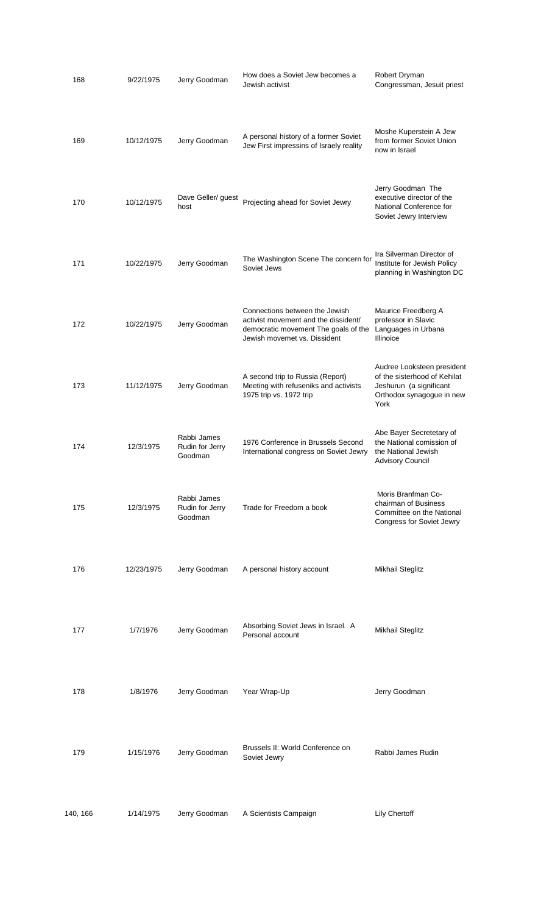| 168      | 9/22/1975  | Jerry Goodman                             | How does a Soviet Jew becomes a<br>Jewish activist                                                                                             | Robert Dryman<br>Congressman, Jesuit priest                                                                                |
|----------|------------|-------------------------------------------|------------------------------------------------------------------------------------------------------------------------------------------------|----------------------------------------------------------------------------------------------------------------------------|
| 169      | 10/12/1975 | Jerry Goodman                             | A personal history of a former Soviet<br>Jew First impressins of Israely reality                                                               | Moshe Kuperstein A Jew<br>from former Soviet Union<br>now in Israel                                                        |
| 170      | 10/12/1975 | Dave Geller/ guest<br>host                | Projecting ahead for Soviet Jewry                                                                                                              | Jerry Goodman The<br>executive director of the<br>National Conference for<br>Soviet Jewry Interview                        |
| 171      | 10/22/1975 | Jerry Goodman                             | The Washington Scene The concern for<br>Soviet Jews                                                                                            | Ira Silverman Director of<br>Institute for Jewish Policy<br>planning in Washington DC                                      |
| 172      | 10/22/1975 | Jerry Goodman                             | Connections between the Jewish<br>activist movement and the dissident/<br>democratic movement The goals of the<br>Jewish movemet vs. Dissident | Maurice Freedberg A<br>professor in Slavic<br>Languages in Urbana<br>Illinoice                                             |
| 173      | 11/12/1975 | Jerry Goodman                             | A second trip to Russia (Report)<br>Meeting with refuseniks and activists<br>1975 trip vs. 1972 trip                                           | Audree Looksteen president<br>of the sisterhood of Kehilat<br>Jeshurun (a significant<br>Orthodox synagogue in new<br>York |
| 174      | 12/3/1975  | Rabbi James<br>Rudin for Jerry<br>Goodman | 1976 Conference in Brussels Second<br>International congress on Soviet Jewry                                                                   | Abe Bayer Secretetary of<br>the National comission of<br>the National Jewish<br><b>Advisory Council</b>                    |
| 175      | 12/3/1975  | Rabbi James<br>Rudin for Jerry<br>Goodman | Trade for Freedom a book                                                                                                                       | Moris Branfman Co-<br>chairman of Business<br>Committee on the National<br>Congress for Soviet Jewry                       |
| 176      | 12/23/1975 | Jerry Goodman                             | A personal history account                                                                                                                     | Mikhail Steglitz                                                                                                           |
| 177      | 1/7/1976   | Jerry Goodman                             | Absorbing Soviet Jews in Israel. A<br>Personal account                                                                                         | <b>Mikhail Steglitz</b>                                                                                                    |
| 178      | 1/8/1976   | Jerry Goodman                             | Year Wrap-Up                                                                                                                                   | Jerry Goodman                                                                                                              |
| 179      | 1/15/1976  | Jerry Goodman                             | Brussels II: World Conference on<br>Soviet Jewry                                                                                               | Rabbi James Rudin                                                                                                          |
| 140, 166 | 1/14/1975  | Jerry Goodman                             | A Scientists Campaign                                                                                                                          | <b>Lily Chertoff</b>                                                                                                       |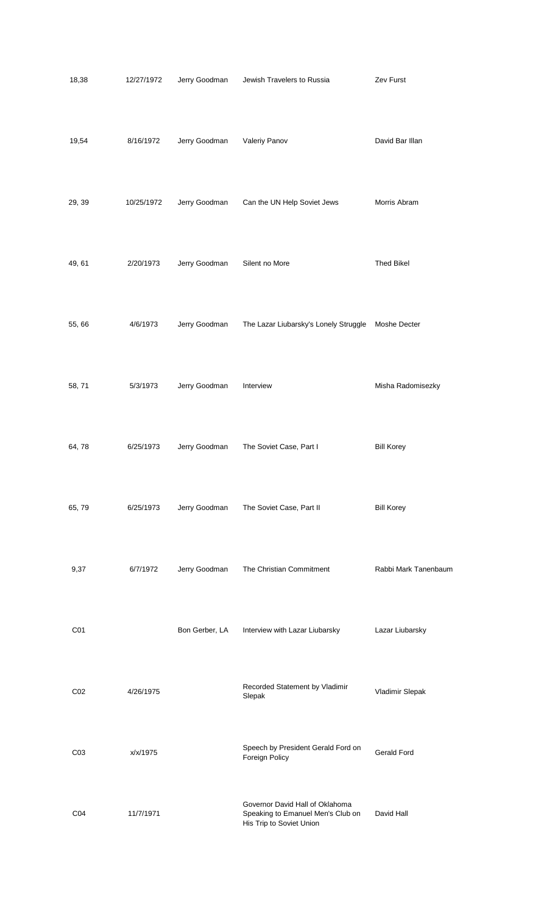| 18,38           | 12/27/1972 | Jerry Goodman  | Jewish Travelers to Russia                                                                       | Zev Furst            |
|-----------------|------------|----------------|--------------------------------------------------------------------------------------------------|----------------------|
| 19,54           | 8/16/1972  | Jerry Goodman  | Valeriy Panov                                                                                    | David Bar Illan      |
| 29, 39          | 10/25/1972 | Jerry Goodman  | Can the UN Help Soviet Jews                                                                      | Morris Abram         |
| 49, 61          | 2/20/1973  | Jerry Goodman  | Silent no More                                                                                   | <b>Thed Bikel</b>    |
| 55,66           | 4/6/1973   | Jerry Goodman  | The Lazar Liubarsky's Lonely Struggle                                                            | Moshe Decter         |
| 58, 71          | 5/3/1973   | Jerry Goodman  | Interview                                                                                        | Misha Radomisezky    |
| 64,78           | 6/25/1973  | Jerry Goodman  | The Soviet Case, Part I                                                                          | <b>Bill Korey</b>    |
| 65, 79          | 6/25/1973  | Jerry Goodman  | The Soviet Case, Part II                                                                         | <b>Bill Korey</b>    |
| 9,37            | 6/7/1972   | Jerry Goodman  | The Christian Commitment                                                                         | Rabbi Mark Tanenbaum |
| C <sub>01</sub> |            | Bon Gerber, LA | Interview with Lazar Liubarsky                                                                   | Lazar Liubarsky      |
| CO <sub>2</sub> | 4/26/1975  |                | Recorded Statement by Vladimir<br>Slepak                                                         | Vladimir Slepak      |
| CO <sub>3</sub> | x/x/1975   |                | Speech by President Gerald Ford on<br>Foreign Policy                                             | <b>Gerald Ford</b>   |
| CO <sub>4</sub> | 11/7/1971  |                | Governor David Hall of Oklahoma<br>Speaking to Emanuel Men's Club on<br>His Trip to Soviet Union | David Hall           |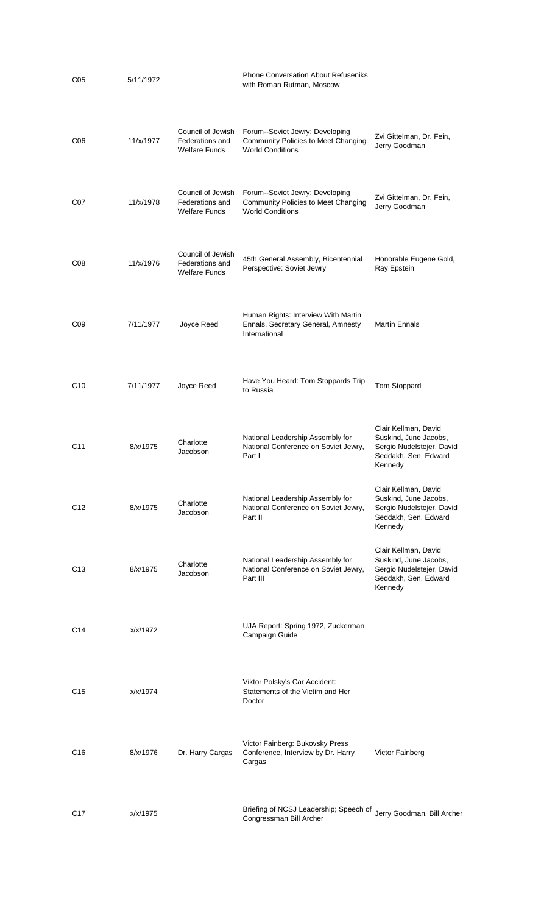| C05             | 5/11/1972 |                                                              | <b>Phone Conversation About Refuseniks</b><br>with Roman Rutman, Moscow                           |                                                                                                               |
|-----------------|-----------|--------------------------------------------------------------|---------------------------------------------------------------------------------------------------|---------------------------------------------------------------------------------------------------------------|
| C <sub>06</sub> | 11/x/1977 | Council of Jewish<br>Federations and<br><b>Welfare Funds</b> | Forum--Soviet Jewry: Developing<br>Community Policies to Meet Changing<br><b>World Conditions</b> | Zvi Gittelman, Dr. Fein,<br>Jerry Goodman                                                                     |
| C07             | 11/x/1978 | Council of Jewish<br>Federations and<br><b>Welfare Funds</b> | Forum--Soviet Jewry: Developing<br>Community Policies to Meet Changing<br><b>World Conditions</b> | Zvi Gittelman, Dr. Fein,<br>Jerry Goodman                                                                     |
| CO8             | 11/x/1976 | Council of Jewish<br>Federations and<br><b>Welfare Funds</b> | 45th General Assembly, Bicentennial<br>Perspective: Soviet Jewry                                  | Honorable Eugene Gold,<br>Ray Epstein                                                                         |
| CO9             | 7/11/1977 | Joyce Reed                                                   | Human Rights: Interview With Martin<br>Ennals, Secretary General, Amnesty<br>International        | <b>Martin Ennals</b>                                                                                          |
| C <sub>10</sub> | 7/11/1977 | Joyce Reed                                                   | Have You Heard: Tom Stoppards Trip<br>to Russia                                                   | Tom Stoppard                                                                                                  |
| C <sub>11</sub> | 8/x/1975  | Charlotte<br>Jacobson                                        | National Leadership Assembly for<br>National Conference on Soviet Jewry,<br>Part I                | Clair Kellman, David<br>Suskind, June Jacobs,<br>Sergio Nudelstejer, David<br>Seddakh, Sen. Edward<br>Kennedy |
| C <sub>12</sub> | 8/x/1975  | Charlotte<br>Jacobson                                        | National Leadership Assembly for<br>National Conference on Soviet Jewry,<br>Part II               | Clair Kellman, David<br>Suskind, June Jacobs,<br>Sergio Nudelstejer, David<br>Seddakh, Sen. Edward<br>Kennedy |
| C <sub>13</sub> | 8/x/1975  | Charlotte<br>Jacobson                                        | National Leadership Assembly for<br>National Conference on Soviet Jewry,<br>Part III              | Clair Kellman, David<br>Suskind, June Jacobs,<br>Sergio Nudelstejer, David<br>Seddakh, Sen. Edward<br>Kennedy |
| C14             | x/x/1972  |                                                              | UJA Report: Spring 1972, Zuckerman<br>Campaign Guide                                              |                                                                                                               |
| C <sub>15</sub> | x/x/1974  |                                                              | Viktor Polsky's Car Accident:<br>Statements of the Victim and Her<br>Doctor                       |                                                                                                               |
| C <sub>16</sub> | 8/x/1976  | Dr. Harry Cargas                                             | Victor Fainberg: Bukovsky Press<br>Conference, Interview by Dr. Harry<br>Cargas                   | Victor Fainberg                                                                                               |
| C <sub>17</sub> | x/x/1975  |                                                              | Briefing of NCSJ Leadership; Speech of<br>Congressman Bill Archer                                 | Jerry Goodman, Bill Archer                                                                                    |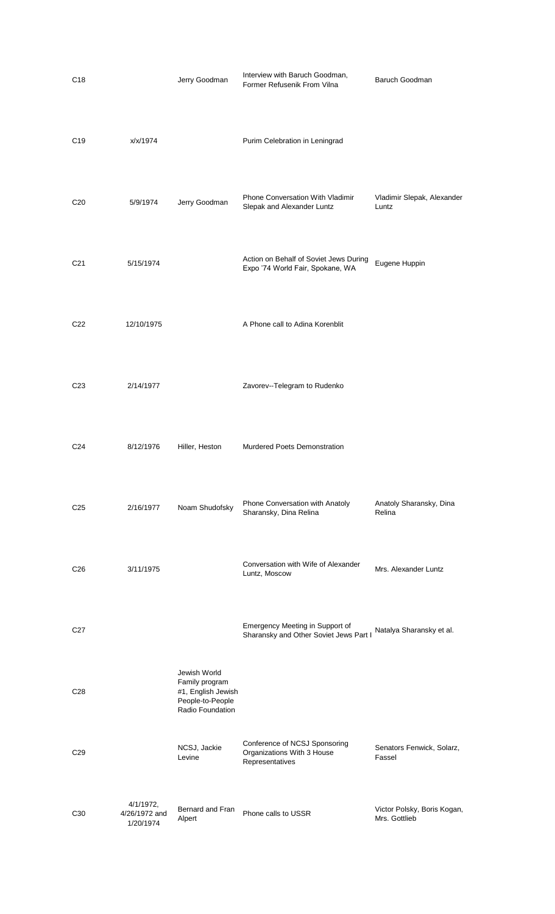| C <sub>18</sub> |                                         | Jerry Goodman                                                                                | Interview with Baruch Goodman,<br>Former Refusenik From Vilna                  | Baruch Goodman                               |
|-----------------|-----------------------------------------|----------------------------------------------------------------------------------------------|--------------------------------------------------------------------------------|----------------------------------------------|
| C <sub>19</sub> | x/x/1974                                |                                                                                              | Purim Celebration in Leningrad                                                 |                                              |
| C <sub>20</sub> | 5/9/1974                                | Jerry Goodman                                                                                | Phone Conversation With Vladimir<br>Slepak and Alexander Luntz                 | Vladimir Slepak, Alexander<br>Luntz          |
| C <sub>21</sub> | 5/15/1974                               |                                                                                              | Action on Behalf of Soviet Jews During<br>Expo '74 World Fair, Spokane, WA     | Eugene Huppin                                |
| C <sub>22</sub> | 12/10/1975                              |                                                                                              | A Phone call to Adina Korenblit                                                |                                              |
| C <sub>23</sub> | 2/14/1977                               |                                                                                              | Zavorev--Telegram to Rudenko                                                   |                                              |
| C24             | 8/12/1976                               | Hiller, Heston                                                                               | <b>Murdered Poets Demonstration</b>                                            |                                              |
| C <sub>25</sub> | 2/16/1977                               | Noam Shudofsky                                                                               | Phone Conversation with Anatoly<br>Sharansky, Dina Relina                      | Anatoly Sharansky, Dina<br>Relina            |
| C <sub>26</sub> | 3/11/1975                               |                                                                                              | Conversation with Wife of Alexander<br>Luntz, Moscow                           | Mrs. Alexander Luntz                         |
| C <sub>27</sub> |                                         |                                                                                              | Emergency Meeting in Support of<br>Sharansky and Other Soviet Jews Part I      | Natalya Sharansky et al.                     |
| C <sub>28</sub> |                                         | Jewish World<br>Family program<br>#1, English Jewish<br>People-to-People<br>Radio Foundation |                                                                                |                                              |
| C <sub>29</sub> |                                         | NCSJ, Jackie<br>Levine                                                                       | Conference of NCSJ Sponsoring<br>Organizations With 3 House<br>Representatives | Senators Fenwick, Solarz,<br>Fassel          |
| C <sub>30</sub> | 4/1/1972,<br>4/26/1972 and<br>1/20/1974 | Bernard and Fran<br>Alpert                                                                   | Phone calls to USSR                                                            | Victor Polsky, Boris Kogan,<br>Mrs. Gottlieb |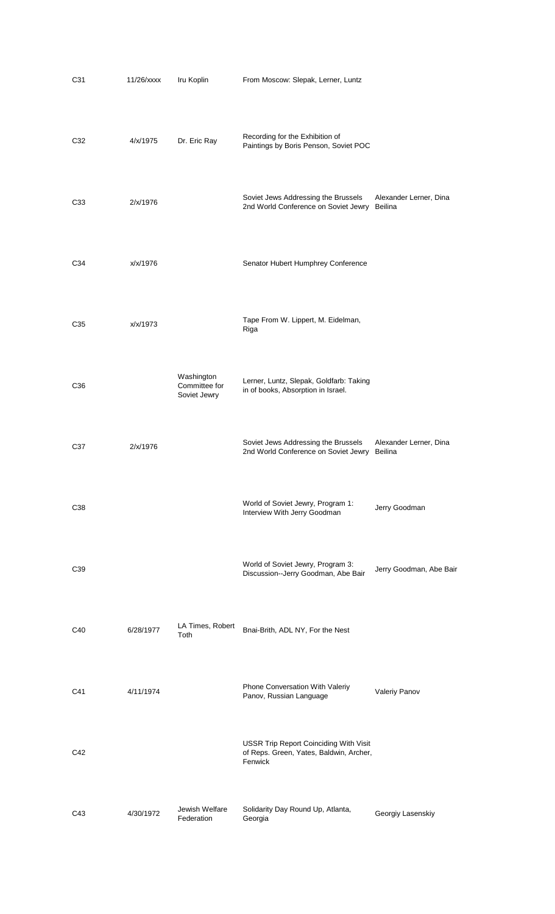| C <sub>31</sub> | $11/26$ /xxxx | Iru Koplin                                  | From Moscow: Slepak, Lerner, Luntz                                                                  |                                   |
|-----------------|---------------|---------------------------------------------|-----------------------------------------------------------------------------------------------------|-----------------------------------|
| C <sub>32</sub> | 4/x/1975      | Dr. Eric Ray                                | Recording for the Exhibition of<br>Paintings by Boris Penson, Soviet POC                            |                                   |
| C33             | 2/x/1976      |                                             | Soviet Jews Addressing the Brussels<br>2nd World Conference on Soviet Jewry Beilina                 | Alexander Lerner, Dina            |
| C34             | x/x/1976      |                                             | Senator Hubert Humphrey Conference                                                                  |                                   |
| C <sub>35</sub> | x/x/1973      |                                             | Tape From W. Lippert, M. Eidelman,<br>Riga                                                          |                                   |
| C <sub>36</sub> |               | Washington<br>Committee for<br>Soviet Jewry | Lerner, Luntz, Slepak, Goldfarb: Taking<br>in of books, Absorption in Israel.                       |                                   |
| C37             | 2/x/1976      |                                             | Soviet Jews Addressing the Brussels<br>2nd World Conference on Soviet Jewry                         | Alexander Lerner, Dina<br>Beilina |
| C38             |               |                                             | World of Soviet Jewry, Program 1:<br>Interview With Jerry Goodman                                   | Jerry Goodman                     |
| C <sub>39</sub> |               |                                             | World of Soviet Jewry, Program 3:<br>Discussion--Jerry Goodman, Abe Bair                            | Jerry Goodman, Abe Bair           |
| C40             | 6/28/1977     | LA Times, Robert<br>Toth                    | Bnai-Brith, ADL NY, For the Nest                                                                    |                                   |
| C41             | 4/11/1974     |                                             | Phone Conversation With Valeriy<br>Panov, Russian Language                                          | Valeriy Panov                     |
| C42             |               |                                             | <b>USSR Trip Report Coinciding With Visit</b><br>of Reps. Green, Yates, Baldwin, Archer,<br>Fenwick |                                   |
| C43             | 4/30/1972     | Jewish Welfare<br>Federation                | Solidarity Day Round Up, Atlanta,<br>Georgia                                                        | Georgiy Lasenskiy                 |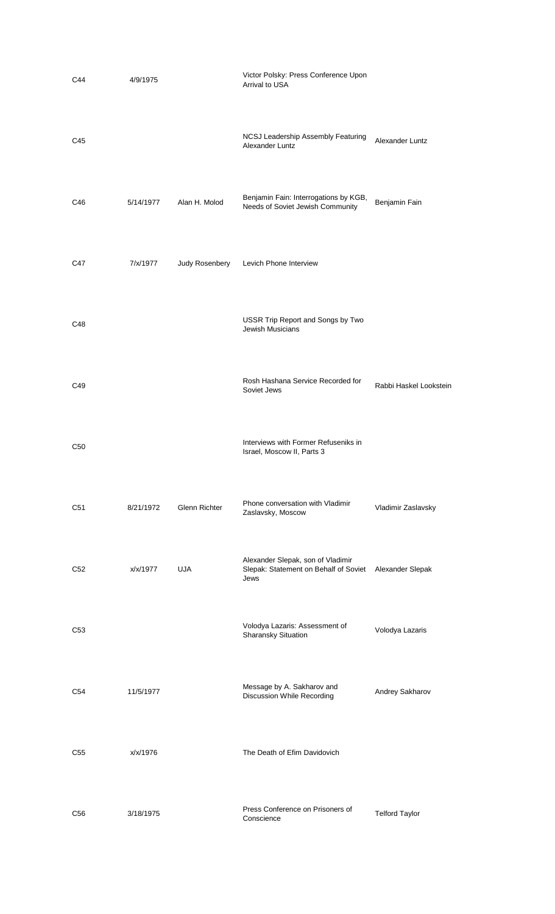| C44             | 4/9/1975  |                      | Victor Polsky: Press Conference Upon<br>Arrival to USA                             |                        |
|-----------------|-----------|----------------------|------------------------------------------------------------------------------------|------------------------|
| C45             |           |                      | NCSJ Leadership Assembly Featuring<br>Alexander Luntz                              | Alexander Luntz        |
| C46             | 5/14/1977 | Alan H. Molod        | Benjamin Fain: Interrogations by KGB,<br>Needs of Soviet Jewish Community          | Benjamin Fain          |
| C47             | 7/x/1977  | Judy Rosenbery       | Levich Phone Interview                                                             |                        |
| C48             |           |                      | USSR Trip Report and Songs by Two<br><b>Jewish Musicians</b>                       |                        |
| C49             |           |                      | Rosh Hashana Service Recorded for<br>Soviet Jews                                   | Rabbi Haskel Lookstein |
| C <sub>50</sub> |           |                      | Interviews with Former Refuseniks in<br>Israel, Moscow II, Parts 3                 |                        |
| C51             | 8/21/1972 | <b>Glenn Richter</b> | Phone conversation with Vladimir<br>Zaslavsky, Moscow                              | Vladimir Zaslavsky     |
| C <sub>52</sub> | x/x/1977  | <b>UJA</b>           | Alexander Slepak, son of Vladimir<br>Slepak: Statement on Behalf of Soviet<br>Jews | Alexander Slepak       |
| C <sub>53</sub> |           |                      | Volodya Lazaris: Assessment of<br>Sharansky Situation                              | Volodya Lazaris        |
| C <sub>54</sub> | 11/5/1977 |                      | Message by A. Sakharov and<br>Discussion While Recording                           | Andrey Sakharov        |
| C <sub>55</sub> | x/x/1976  |                      | The Death of Efim Davidovich                                                       |                        |
| C <sub>56</sub> | 3/18/1975 |                      | Press Conference on Prisoners of<br>Conscience                                     | <b>Telford Taylor</b>  |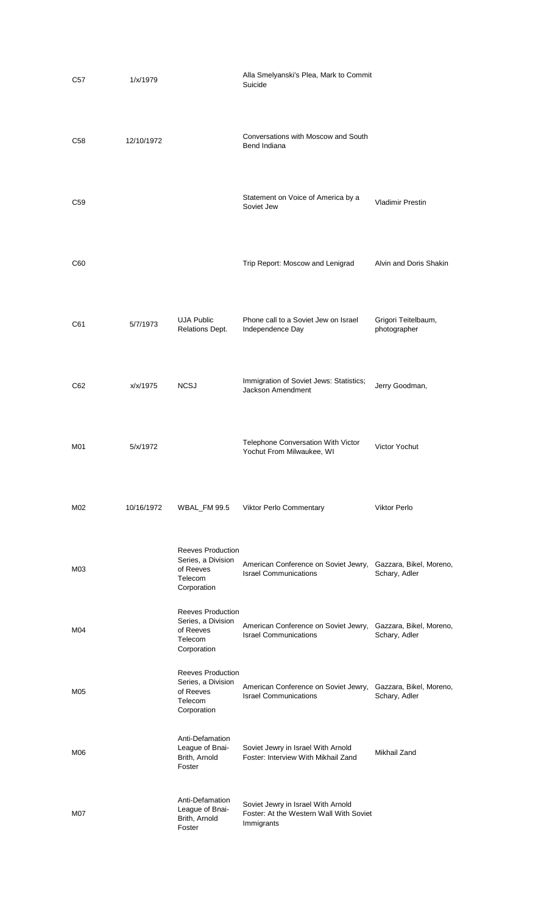| C57 | 1/x/1979   |                                                                                       | Alla Smelyanski's Plea, Mark to Commit<br>Suicide                                           |                                          |
|-----|------------|---------------------------------------------------------------------------------------|---------------------------------------------------------------------------------------------|------------------------------------------|
| C58 | 12/10/1972 |                                                                                       | Conversations with Moscow and South<br>Bend Indiana                                         |                                          |
| C59 |            |                                                                                       | Statement on Voice of America by a<br>Soviet Jew                                            | <b>Vladimir Prestin</b>                  |
| C60 |            |                                                                                       | Trip Report: Moscow and Lenigrad                                                            | Alvin and Doris Shakin                   |
| C61 | 5/7/1973   | <b>UJA Public</b><br>Relations Dept.                                                  | Phone call to a Soviet Jew on Israel<br>Independence Day                                    | Grigori Teitelbaum,<br>photographer      |
| C62 | x/x/1975   | <b>NCSJ</b>                                                                           | Immigration of Soviet Jews: Statistics;<br><b>Jackson Amendment</b>                         | Jerry Goodman,                           |
| M01 | 5/x/1972   |                                                                                       | Telephone Conversation With Victor<br>Yochut From Milwaukee, WI                             | Victor Yochut                            |
| M02 | 10/16/1972 | <b>WBAL_FM 99.5</b>                                                                   | <b>Viktor Perlo Commentary</b>                                                              | <b>Viktor Perlo</b>                      |
| M03 |            | <b>Reeves Production</b><br>Series, a Division<br>of Reeves<br>Telecom<br>Corporation | American Conference on Soviet Jewry,<br><b>Israel Communications</b>                        | Gazzara, Bikel, Moreno,<br>Schary, Adler |
| M04 |            | <b>Reeves Production</b><br>Series, a Division<br>of Reeves<br>Telecom<br>Corporation | American Conference on Soviet Jewry,<br><b>Israel Communications</b>                        | Gazzara, Bikel, Moreno,<br>Schary, Adler |
| M05 |            | <b>Reeves Production</b><br>Series, a Division<br>of Reeves<br>Telecom<br>Corporation | American Conference on Soviet Jewry,<br><b>Israel Communications</b>                        | Gazzara, Bikel, Moreno,<br>Schary, Adler |
| M06 |            | Anti-Defamation<br>League of Bnai-<br>Brith, Arnold<br>Foster                         | Soviet Jewry in Israel With Arnold<br>Foster: Interview With Mikhail Zand                   | Mikhail Zand                             |
| M07 |            | Anti-Defamation<br>League of Bnai-<br>Brith, Arnold<br>Foster                         | Soviet Jewry in Israel With Arnold<br>Foster: At the Western Wall With Soviet<br>Immigrants |                                          |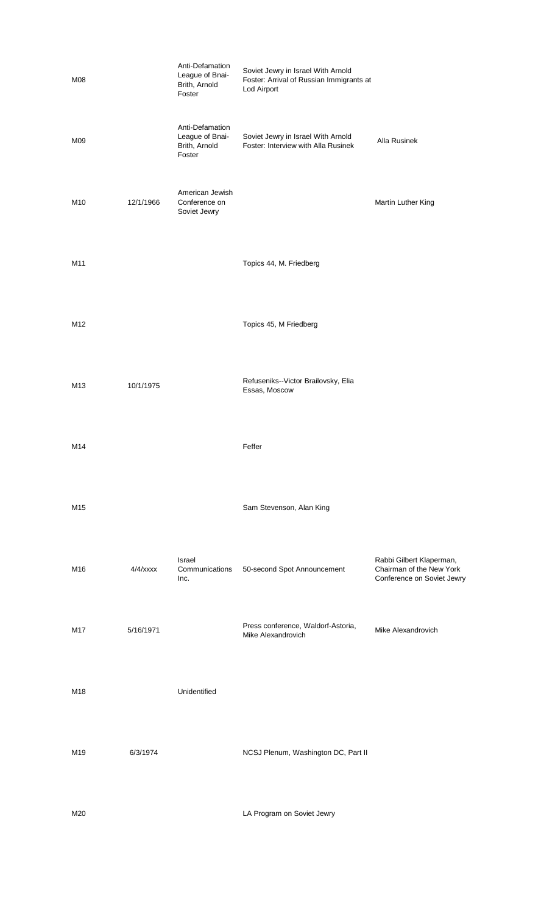| M08             |             | Anti-Defamation<br>League of Bnai-<br>Brith, Arnold<br>Foster | Soviet Jewry in Israel With Arnold<br>Foster: Arrival of Russian Immigrants at<br>Lod Airport |                                                                                    |
|-----------------|-------------|---------------------------------------------------------------|-----------------------------------------------------------------------------------------------|------------------------------------------------------------------------------------|
| M09             |             | Anti-Defamation<br>League of Bnai-<br>Brith, Arnold<br>Foster | Soviet Jewry in Israel With Arnold<br>Foster: Interview with Alla Rusinek                     | Alla Rusinek                                                                       |
| M10             | 12/1/1966   | American Jewish<br>Conference on<br>Soviet Jewry              |                                                                                               | Martin Luther King                                                                 |
| M11             |             |                                                               | Topics 44, M. Friedberg                                                                       |                                                                                    |
| M12             |             |                                                               | Topics 45, M Friedberg                                                                        |                                                                                    |
| M <sub>13</sub> | 10/1/1975   |                                                               | Refuseniks--Victor Brailovsky, Elia<br>Essas, Moscow                                          |                                                                                    |
| M14             |             |                                                               | Feffer                                                                                        |                                                                                    |
| M15             |             |                                                               | Sam Stevenson, Alan King                                                                      |                                                                                    |
| M16             | $4/4$ /xxxx | Israel<br>Communications<br>Inc.                              | 50-second Spot Announcement                                                                   | Rabbi Gilbert Klaperman,<br>Chairman of the New York<br>Conference on Soviet Jewry |
| M17             | 5/16/1971   |                                                               | Press conference, Waldorf-Astoria,<br>Mike Alexandrovich                                      | Mike Alexandrovich                                                                 |
| M18             |             | Unidentified                                                  |                                                                                               |                                                                                    |
| M19             | 6/3/1974    |                                                               | NCSJ Plenum, Washington DC, Part II                                                           |                                                                                    |
| M20             |             |                                                               | LA Program on Soviet Jewry                                                                    |                                                                                    |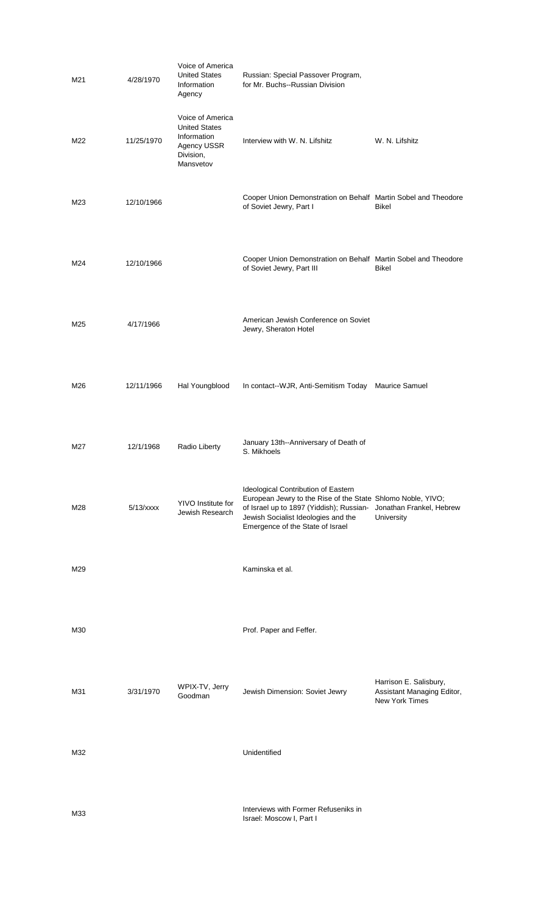| M21 | 4/28/1970  | Voice of America<br><b>United States</b><br>Information<br>Agency                                | Russian: Special Passover Program,<br>for Mr. Buchs--Russian Division                                                                                                                                                     |                                                                               |
|-----|------------|--------------------------------------------------------------------------------------------------|---------------------------------------------------------------------------------------------------------------------------------------------------------------------------------------------------------------------------|-------------------------------------------------------------------------------|
| M22 | 11/25/1970 | Voice of America<br><b>United States</b><br>Information<br>Agency USSR<br>Division,<br>Mansvetov | Interview with W. N. Lifshitz                                                                                                                                                                                             | W. N. Lifshitz                                                                |
| M23 | 12/10/1966 |                                                                                                  | Cooper Union Demonstration on Behalf Martin Sobel and Theodore<br>of Soviet Jewry, Part I                                                                                                                                 | Bikel                                                                         |
| M24 | 12/10/1966 |                                                                                                  | Cooper Union Demonstration on Behalf Martin Sobel and Theodore<br>of Soviet Jewry, Part III                                                                                                                               | Bikel                                                                         |
| M25 | 4/17/1966  |                                                                                                  | American Jewish Conference on Soviet<br>Jewry, Sheraton Hotel                                                                                                                                                             |                                                                               |
| M26 | 12/11/1966 | Hal Youngblood                                                                                   | In contact--WJR, Anti-Semitism Today Maurice Samuel                                                                                                                                                                       |                                                                               |
| M27 | 12/1/1968  | Radio Liberty                                                                                    | January 13th--Anniversary of Death of<br>S. Mikhoels                                                                                                                                                                      |                                                                               |
| M28 | 5/13/xxx   | YIVO Institute for<br>Jewish Research                                                            | Ideological Contribution of Eastern<br>European Jewry to the Rise of the State Shlomo Noble, YIVO;<br>of Israel up to 1897 (Yiddish); Russian-<br>Jewish Socialist Ideologies and the<br>Emergence of the State of Israel | Jonathan Frankel, Hebrew<br>University                                        |
| M29 |            |                                                                                                  | Kaminska et al.                                                                                                                                                                                                           |                                                                               |
| M30 |            |                                                                                                  | Prof. Paper and Feffer.                                                                                                                                                                                                   |                                                                               |
| M31 | 3/31/1970  | WPIX-TV, Jerry<br>Goodman                                                                        | Jewish Dimension: Soviet Jewry                                                                                                                                                                                            | Harrison E. Salisbury,<br>Assistant Managing Editor,<br><b>New York Times</b> |
| M32 |            |                                                                                                  | Unidentified                                                                                                                                                                                                              |                                                                               |
| M33 |            |                                                                                                  | Interviews with Former Refuseniks in<br>Israel: Moscow I, Part I                                                                                                                                                          |                                                                               |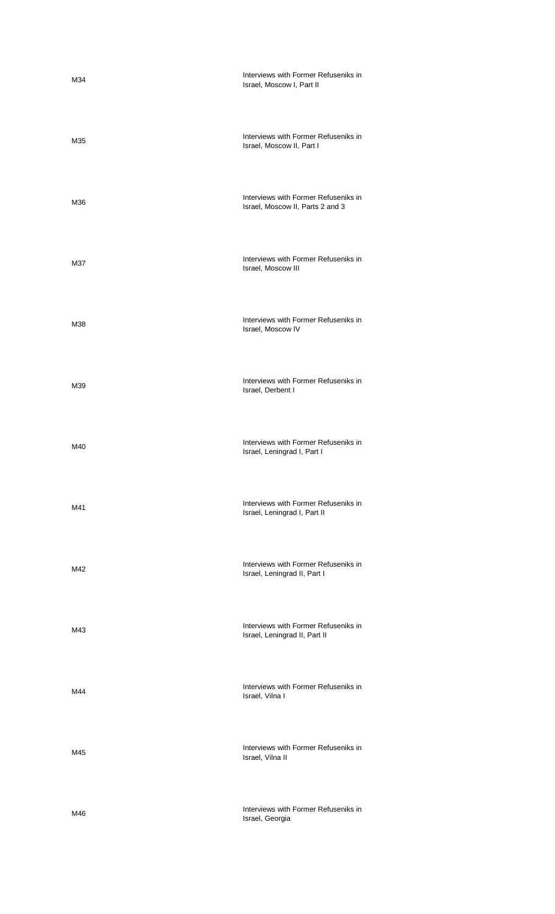| M34 | Interviews with Former Refuseniks in<br>Israel, Moscow I, Part II        |
|-----|--------------------------------------------------------------------------|
| M35 | Interviews with Former Refuseniks in<br>Israel, Moscow II, Part I        |
| M36 | Interviews with Former Refuseniks in<br>Israel, Moscow II, Parts 2 and 3 |
| M37 | Interviews with Former Refuseniks in<br>Israel, Moscow III               |
| M38 | Interviews with Former Refuseniks in<br>Israel, Moscow IV                |
| M39 | Interviews with Former Refuseniks in<br>Israel, Derbent I                |
| M40 | Interviews with Former Refuseniks in<br>Israel, Leningrad I, Part I      |
| M41 | Interviews with Former Refuseniks in<br>Israel, Leningrad I, Part II     |
| M42 | Interviews with Former Refuseniks in<br>Israel, Leningrad II, Part I     |
| M43 | Interviews with Former Refuseniks in<br>Israel, Leningrad II, Part II    |
| M44 | Interviews with Former Refuseniks in<br>Israel, Vilna I                  |
| M45 | Interviews with Former Refuseniks in<br>Israel, Vilna II                 |
| M46 | Interviews with Former Refuseniks in<br>Israel, Georgia                  |